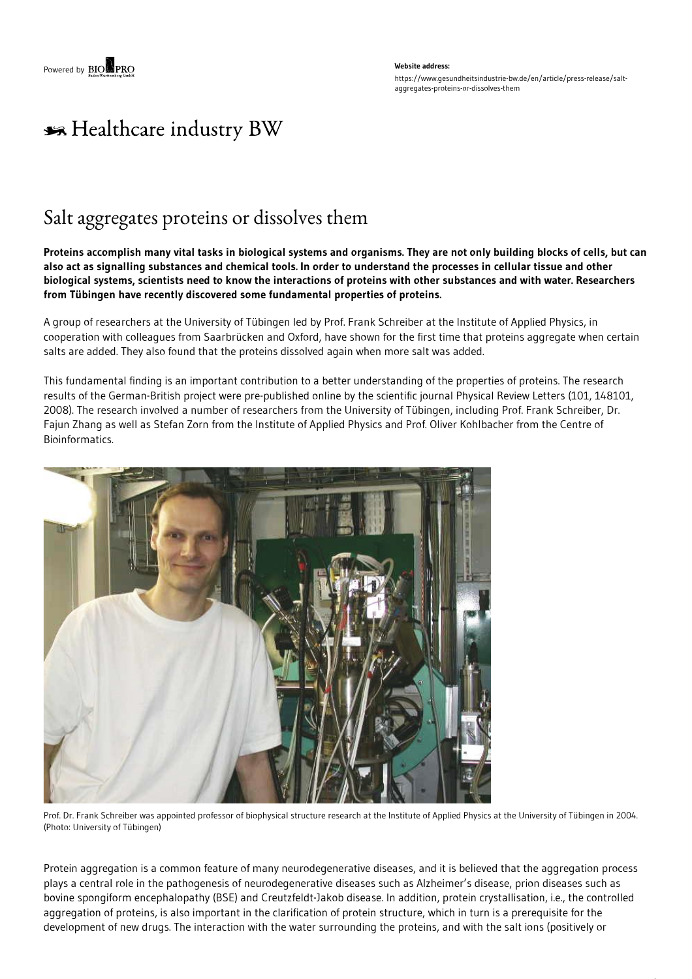#### **Website address:** https://www.gesundheitsindustrie-bw.de/en/article/press-release/saltaggregates-proteins-or-dissolves-them

# \*\* Healthcare industry BW

## Salt aggregates proteins or dissolves them

Proteins accomplish many vital tasks in biological systems and organisms. They are not only building blocks of cells, but can also act as signalling substances and chemical tools. In order to understand the processes in cellular tissue and other biological systems, scientists need to know the interactions of proteins with other substances and with water. Researchers **from Tübingen have recently discovered some fundamental properties of proteins.**

A group of researchers at the University of Tübingen led by Prof. Frank Schreiber at the Institute of Applied Physics, in cooperation with colleagues from Saarbrücken and Oxford, have shown for the first time that proteins aggregate when certain salts are added. They also found that the proteins dissolved again when more salt was added.

This fundamental finding is an important contribution to a better understanding of the properties of proteins. The research results of the German-British project were pre-published online by the scientific journal Physical Review Letters (101, 148101, 2008). The research involved a number of researchers from the University of Tübingen, including Prof. Frank Schreiber, Dr. Fajun Zhang as well as Stefan Zorn from the Institute of Applied Physics and Prof. Oliver Kohlbacher from the Centre of Bioinformatics.



Prof. Dr. Frank Schreiber was appointed professor of biophysical structure research at the Institute of Applied Physics at the University of Tübingen in 2004. (Photo: University of Tübingen)

Protein aggregation is a common feature of many neurodegenerative diseases, and it is believed that the aggregation process plays a central role in the pathogenesis of neurodegenerative diseases such as Alzheimer's disease, prion diseases such as bovine spongiform encephalopathy (BSE) and Creutzfeldt-Jakob disease. In addition, protein crystallisation, i.e., the controlled aggregation of proteins, is also important in the clarification of protein structure, which in turn is a prerequisite for the development of new drugs. The interaction with the water surrounding the proteins, and with the salt ions (positively or